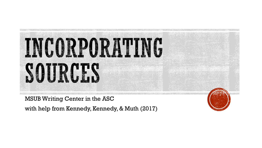

MSUB Writing Center in the ASC

with help from Kennedy, Kennedy, & Muth (2017)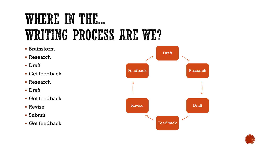## WHERE IN THE. WRITING PROCESS ARE WE?

**• Brainstorm** Draft ▪ Research ▪ Draft FeedbackResearch ▪ Get feedback ■ Research ▪ Draft ▪ Get feedback Revise Draft **E** Revise ▪ Submit V Feedback ▪ Get feedback

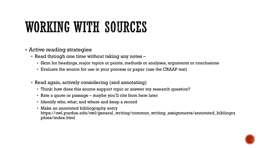## WORKING WITH SOURCES

- **EXECUTE: Active reading strategies** 
	- **Read through one time without taking any notes** 
		- Skim for headings, major topics or points, methods or analyses, arguments or conclusions
		- Evaluate the source for use in your process or paper (use the CRAAP test)
	- Read again, actively considering (and annotating)
		- **Think: how does this source support topic or answer my research question?**
		- $\blacksquare$  Rate a quote or passage maybe you'll cite from here later
		- Identify who, what, and where and keep a record
		- **Make an annotated bibliography entry** https://owl.purdue.edu/owl/general\_writing/common\_writing\_assignments/annotated\_bibliogra phies/index.html

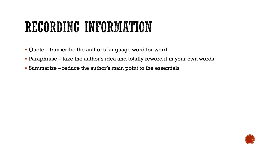## RECORDING INFORMATION

- Quote transcribe the author's language word for word
- Paraphrase take the author's idea and totally reword it in your own words
- Summarize reduce the author's main point to the essentials

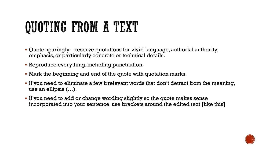# QUOTING FROM A TEXT

- Quote sparingly reserve quotations for vivid language, authorial authority, emphasis, or particularly concrete or technical details.
- Reproduce everything, including punctuation.
- Mark the beginning and end of the quote with quotation marks.
- If you need to eliminate a few irrelevant words that don't detract from the meaning, use an ellipsis (…).
- If you need to add or change wording slightly so the quote makes sense incorporated into your sentence, use brackets around the edited text [like this]

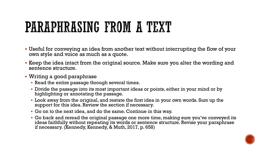# PARAPHRASING FROM A TEXT

- Useful for conveying an idea from another text without interrupting the flow of your own style and voice as much as a quote.
- Keep the idea intact from the original source. Make sure you alter the wording and sentence structure.
- Writing a good paraphrase
	- **Read the entire passage through several times.**
	- Divide the passage into its most important ideas or points, either in your mind or by highlighting or annotating the passage.
	- Look away from the original, and restate the first idea in your own words. Sum up the support for this idea. Review the section if necessary.
	- Go on to the next idea, and do the same. Continue in this way.
	- Go back and reread the original passage one more time, making sure you've conveyed its ideas faithfully without repeating its words or sentence structure. Revise your paraphrase if necessary. (Kennedy, Kennedy, & Muth, 2017, p. 658)

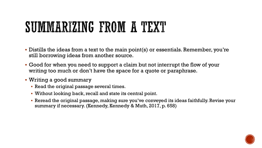## SUMMARIZING FROM A TEXT

- Distills the ideas from a text to the main point(s) or essentials. Remember, you're still borrowing ideas from another source.
- Good for when you need to support a claim but not interrupt the flow of your writing too much or don't have the space for a quote or paraphrase.
- Writing a good summary
	- **Read the original passage several times.**
	- Without looking back, recall and state its central point.
	- Reread the original passage, making sure you've conveyed its ideas faithfully. Revise your summary if necessary. (Kennedy, Kennedy & Muth, 2017, p. 658)

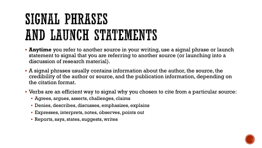# SIGNAL PHRASES AND LAUNCH STATEMENTS

- **Anytime** you refer to another source in your writing, use a signal phrase or launch statement to signal that you are referring to another source (or launching into a discussion of research material).
- A signal phrases usually contains information about the author, the source, the credibility of the author or source, and the publication information, depending on the citation format.
- Verbs are an efficient way to signal why you chosen to cite from a particular source:
	- Agrees, argues, asserts, challenges, claims
	- Denies, describes, discusses, emphasizes, explains
	- Expresses, interprets, notes, observes, points out
	- Reports, says, states, suggests, writes

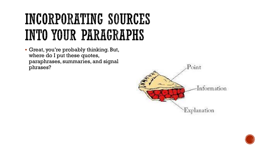# INCORPORATING SOURCES INTO YOUR PARAGRAPHS

▪ Great, you're probably thinking. But, where do I put these quotes, paraphrases, summaries, and signal phrases?



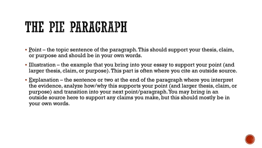## THE PIE PARAGRAPH

- $\blacksquare$  Point the topic sentence of the paragraph. This should support your thesis, claim, or purpose and should be in your own words.
- **.** Illustration the example that you bring into your essay to support your point (and larger thesis, claim, or purpose). This part is often where you cite an outside source.
- $\blacksquare$  Explanation the sentence or two at the end of the paragraph where you interpret the evidence, analyze how/why this supports your point (and larger thesis, claim, or purpose) and transition into your next point/paragraph. You may bring in an outside source here to support any claims you make, but this should mostly be in your own words.

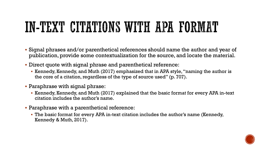# IN-TEXT CITATIONS WITH APA FORMAT

- Signal phrases and/or parenthetical references should name the author and year of publication, provide some contextualization for the source, and locate the material.
- Direct quote with signal phrase and parenthetical reference:
	- Kennedy, Kennedy, and Muth (2017) emphasized that in APA style, "naming the author is the core of a citation, regardless of the type of source used" (p. 707).
- Paraphrase with signal phrase:
	- Kennedy, Kennedy, and Muth (2017) explained that the basic format for every APA in-text citation includes the author's name.
- Paraphrase with a parenthetical reference:
	- **The basic format for every APA in-text citation includes the author's name (Kennedy,** Kennedy & Muth, 2017).

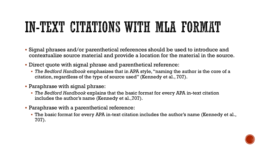# IN-TEXT CITATIONS WITH MLA FORMAT

- Signal phrases and/or parenthetical references should be used to introduce and contextualize source material and provide a location for the material in the source.
- Direct quote with signal phrase and parenthetical reference:
	- *The Bedford Handbook* emphasizes that in APA style, "naming the author is the core of a citation, regardless of the type of source used" (Kennedy et al., 707).
- Paraphrase with signal phrase:
	- *The Bedford Handbook* explains that the basic format for every APA in-text citation includes the author's name (Kennedy et al.,707).
- Paraphrase with a parenthetical reference:
	- The basic format for every APA in-text citation includes the author's name (Kennedy et al., 707).

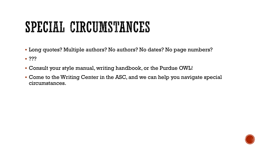# SPECIAL CIRCUMSTANCES

▪ Long quotes? Multiple authors? No authors? No dates? No page numbers?

 $\blacksquare$  ???

- Consult your style manual, writing handbook, or the Purdue OWL!
- Come to the Writing Center in the ASC, and we can help you navigate special circumstances.